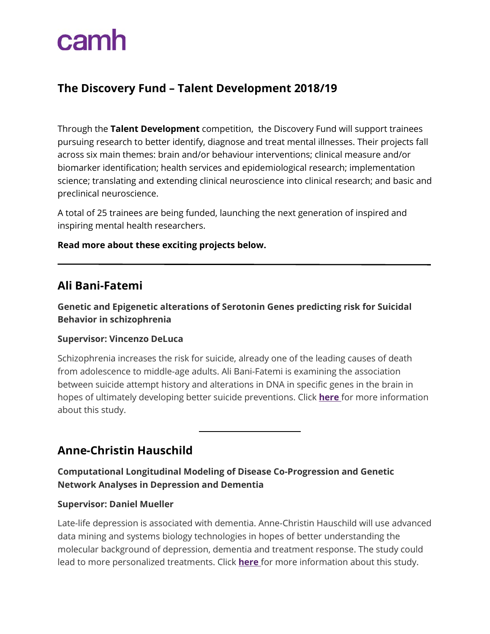## **The Discovery Fund – Talent Development 2018/19**

Through the **Talent Development** competition, the Discovery Fund will support trainees pursuing research to better identify, diagnose and treat mental illnesses. Their projects fall across six main themes: brain and/or behaviour interventions; clinical measure and/or biomarker identification; health services and epidemiological research; implementation science; translating and extending clinical neuroscience into clinical research; and basic and preclinical neuroscience.

A total of 25 trainees are being funded, launching the next generation of inspired and inspiring mental health researchers.

#### **Read more about these exciting projects below.**

## **Ali Bani-Fatemi**

**Genetic and Epigenetic alterations of Serotonin Genes predicting risk for Suicidal Behavior in schizophrenia**

#### **Supervisor: Vincenzo DeLuca**

Schizophrenia increases the risk for suicide, already one of the leading causes of death from adolescence to middle-age adults. Ali Bani-Fatemi is examining the association between suicide attempt history and alterations in DNA in specific genes in the brain in hopes of ultimately developing better suicide preventions. Click **[here](https://www.camh.ca/-/media/files/discovery-fund-abstracts/ali-bani-fatemi-_-2018-talent-development-competition-awardees-pdf.pdf?la=en&hash=667F9579213D8ECD17A0F6D470E8F0A872DCDF48)** for more information about this study.

## **Anne-Christin Hauschild**

#### **Computational Longitudinal Modeling of Disease Co-Progression and Genetic Network Analyses in Depression and Dementia**

#### **Supervisor: Daniel Mueller**

Late-life depression is associated with dementia. Anne-Christin Hauschild will use advanced data mining and systems biology technologies in hopes of better understanding the molecular background of depression, dementia and treatment response. The study could lead to more personalized treatments. Click **[here](https://www.camh.ca/-/media/files/discovery-fund-abstracts/anne-christin-hauschild_2018-talent-development-competition-awardees-pdf.pdf?la=en&hash=DF7F114CC9FFB178CFC11831FA713916DCC1ABC2)** for more information about this study.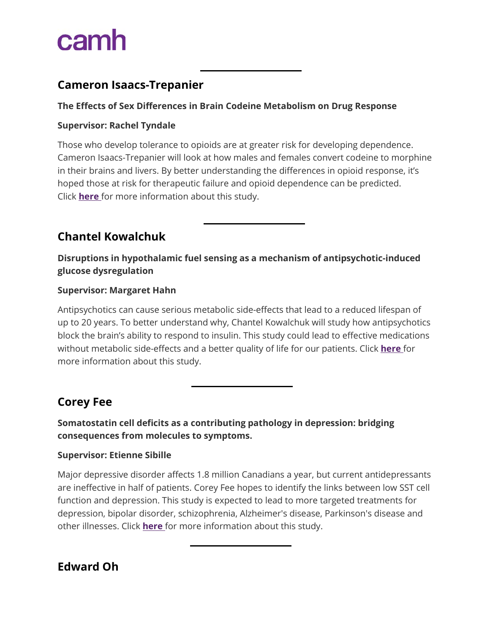## **Cameron Isaacs-Trepanier**

#### **The Effects of Sex Differences in Brain Codeine Metabolism on Drug Response**

#### **Supervisor: Rachel Tyndale**

Those who develop tolerance to opioids are at greater risk for developing dependence. Cameron Isaacs-Trepanier will look at how males and females convert codeine to morphine in their brains and livers. By better understanding the differences in opioid response, it's hoped those at risk for therapeutic failure and opioid dependence can be predicted. Click **[here](https://www.camh.ca/-/media/files/discovery-fund-abstracts/cameron-isaacs-trepanier_2018-talent-development-competition-awardees-pdf.pdf?la=en&hash=510309A787BAD8CB9248CECED021CDBDE84F7232)** for more information about this study.

## **Chantel Kowalchuk**

**Disruptions in hypothalamic fuel sensing as a mechanism of antipsychotic-induced glucose dysregulation**

#### **Supervisor: Margaret Hahn**

Antipsychotics can cause serious metabolic side-effects that lead to a reduced lifespan of up to 20 years. To better understand why, Chantel Kowalchuk will study how antipsychotics block the brain's ability to respond to insulin. This study could lead to effective medications without metabolic side-effects and a better quality of life for our patients. Click **[here](https://www.camh.ca/-/media/files/discovery-fund-abstracts/chantel-kowalchuk_2018-talent-development-competition-awardees-pdf.pdf?la=en&hash=EBD7461BC3AC946BEAD0200FDFE53F932E9137C8)** for more information about this study.

## **Corey Fee**

**Somatostatin cell deficits as a contributing pathology in depression: bridging consequences from molecules to symptoms.**

#### **Supervisor: Etienne Sibille**

Major depressive disorder affects 1.8 million Canadians a year, but current antidepressants are ineffective in half of patients. Corey Fee hopes to identify the links between low SST cell function and depression. This study is expected to lead to more targeted treatments for depression, bipolar disorder, schizophrenia, Alzheimer's disease, Parkinson's disease and other illnesses. Click **[here](https://www.camh.ca/-/media/files/discovery-fund-abstracts/corey-fee_2018-talent-development-competition-awardees-pdf.pdf?la=en&hash=39A3AE5A48ACD453F3E6F5A490A15C0DDEE9554F)** for more information about this study.

**Edward Oh**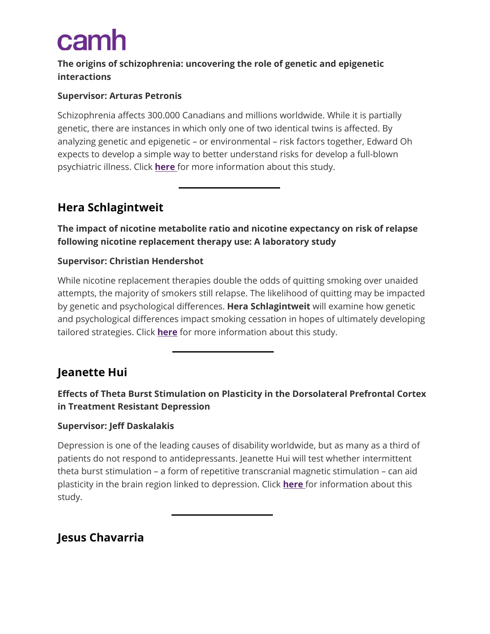## **The origins of schizophrenia: uncovering the role of genetic and epigenetic interactions**

#### **Supervisor: Arturas Petronis**

Schizophrenia affects 300.000 Canadians and millions worldwide. While it is partially genetic, there are instances in which only one of two identical twins is affected. By analyzing genetic and epigenetic – or environmental – risk factors together, Edward Oh expects to develop a simple way to better understand risks for develop a full-blown psychiatric illness. Click **[here](https://www.camh.ca/-/media/files/discovery-fund-abstracts/edward-oh_2018-talent-development-competition-awardees-pdf.pdf?la=en&hash=A30509EB21FC44F67F596D1C614A4B77CEE5F94F)** for more information about this study.

## **Hera Schlagintweit**

**The impact of nicotine metabolite ratio and nicotine expectancy on risk of relapse following nicotine replacement therapy use: A laboratory study**

#### **Supervisor: Christian Hendershot**

While nicotine replacement therapies double the odds of quitting smoking over unaided attempts, the majority of smokers still relapse. The likelihood of quitting may be impacted by genetic and psychological differences. **Hera Schlagintweit** will examine how genetic and psychological differences impact smoking cessation in hopes of ultimately developing tailored strategies. Click **[here](https://www.camh.ca/-/media/files/discovery-fund-abstracts/hera-schlagintweit_2018-talent-development-competition-awardees-pdf.pdf?la=en&hash=ABFAC35CC177487EAB8A30BF42880254B9945EA4)** for more information about this study.

## **Jeanette Hui**

## **Effects of Theta Burst Stimulation on Plasticity in the Dorsolateral Prefrontal Cortex in Treatment Resistant Depression**

#### **Supervisor: Jeff Daskalakis**

Depression is one of the leading causes of disability worldwide, but as many as a third of patients do not respond to antidepressants. Jeanette Hui will test whether intermittent theta burst stimulation – a form of repetitive transcranial magnetic stimulation – can aid plasticity in the brain region linked to depression. Click **[here](https://www.camh.ca/-/media/files/discovery-fund-abstracts/jeanette-hui_2018-talent-development-competition-awardees-pdf.pdf?la=en&hash=32A1F631FB793FF4D9EEDEA792F8252ACF28B755)** for information about this study.

## **Jesus Chavarria**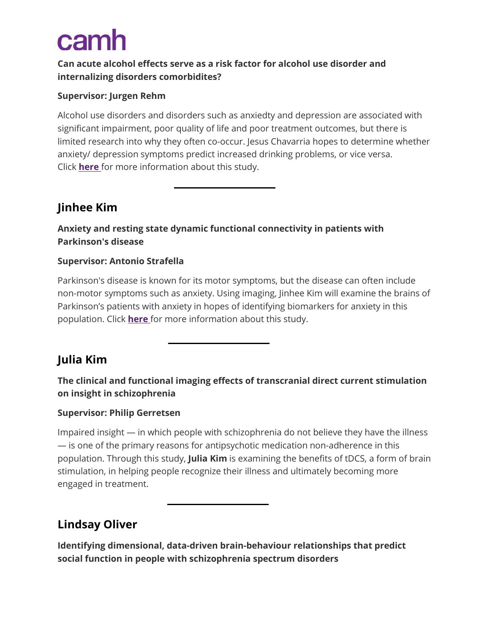### **Can acute alcohol effects serve as a risk factor for alcohol use disorder and internalizing disorders comorbidites?**

#### **Supervisor: Jurgen Rehm**

Alcohol use disorders and disorders such as anxiedty and depression are associated with significant impairment, poor quality of life and poor treatment outcomes, but there is limited research into why they often co-occur. Jesus Chavarria hopes to determine whether anxiety/ depression symptoms predict increased drinking problems, or vice versa. Click **[here](https://www.camh.ca/-/media/files/discovery-fund-abstracts/jesus-chavarria_2018-talent-development-competition-awardees-pdf.pdf?la=en&hash=D9EA2ED4AB994206E4D529564973B39CCAD2ADA0)** for more information about this study.

## **Jinhee Kim**

## **Anxiety and resting state dynamic functional connectivity in patients with Parkinson's disease**

#### **Supervisor: Antonio Strafella**

Parkinson's disease is known for its motor symptoms, but the disease can often include non-motor symptoms such as anxiety. Using imaging, Jinhee Kim will examine the brains of Parkinson's patients with anxiety in hopes of identifying biomarkers for anxiety in this population. Click **[here](https://www.camh.ca/-/media/files/discovery-fund-abstracts/jinhee-kim_2018-talent-development-competition-awardees-pdf.pdf?la=en&hash=207588A61833316E8AB718BE92C48CB77A770E4F)** for more information about this study.

## **Julia Kim**

## **The clinical and functional imaging effects of transcranial direct current stimulation on insight in schizophrenia**

#### **Supervisor: Philip Gerretsen**

Impaired insight — in which people with schizophrenia do not believe they have the illness — is one of the primary reasons for antipsychotic medication non-adherence in this population. Through this study, **Julia Kim** is examining the benefits of tDCS, a form of brain stimulation, in helping people recognize their illness and ultimately becoming more engaged in treatment.

## **Lindsay Oliver**

**Identifying dimensional, data-driven brain-behaviour relationships that predict social function in people with schizophrenia spectrum disorders**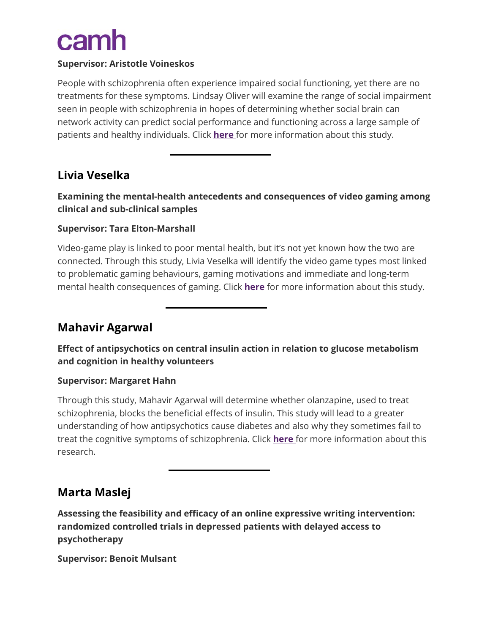#### **Supervisor: Aristotle Voineskos**

People with schizophrenia often experience impaired social functioning, yet there are no treatments for these symptoms. Lindsay Oliver will examine the range of social impairment seen in people with schizophrenia in hopes of determining whether social brain can network activity can predict social performance and functioning across a large sample of patients and healthy individuals. Click **[here](https://www.camh.ca/-/media/files/discovery-fund-abstracts/lindsay-oliver_2018-talent-development-competition-awardees-pdf.pdf?la=en&hash=8C9264CC49C2B1873B6E97C8696053BC18491D96)** for more information about this study.

## **Livia Veselka**

**Examining the mental-health antecedents and consequences of video gaming among clinical and sub-clinical samples**

#### **Supervisor: Tara Elton-Marshall**

Video-game play is linked to poor mental health, but it's not yet known how the two are connected. Through this study, Livia Veselka will identify the video game types most linked to problematic gaming behaviours, gaming motivations and immediate and long-term mental health consequences of gaming. Click **[here](https://www.camh.ca/-/media/files/discovery-fund-abstracts/livia-veselka_2018-talent-development-competition-awardees-pdf.pdf?la=en&hash=7B7DB310EEBFFAC33308F9EF2CDED641D9FEAEEB)** for more information about this study.

## **Mahavir Agarwal**

**Effect of antipsychotics on central insulin action in relation to glucose metabolism and cognition in healthy volunteers**

#### **Supervisor: Margaret Hahn**

Through this study, Mahavir Agarwal will determine whether olanzapine, used to treat schizophrenia, blocks the beneficial effects of insulin. This study will lead to a greater understanding of how antipsychotics cause diabetes and also why they sometimes fail to treat the cognitive symptoms of schizophrenia. Click **[here](https://www.camh.ca/-/media/files/discovery-fund-abstracts/mahavir-agarwal_2018-talent-development-competition-awardees-pdf.pdf?la=en&hash=C554ABCC661794A185568667D8E373E3F2B900C3)** for more information about this research.

## **Marta Maslej**

**Assessing the feasibility and efficacy of an online expressive writing intervention: randomized controlled trials in depressed patients with delayed access to psychotherapy**

**Supervisor: Benoit Mulsant**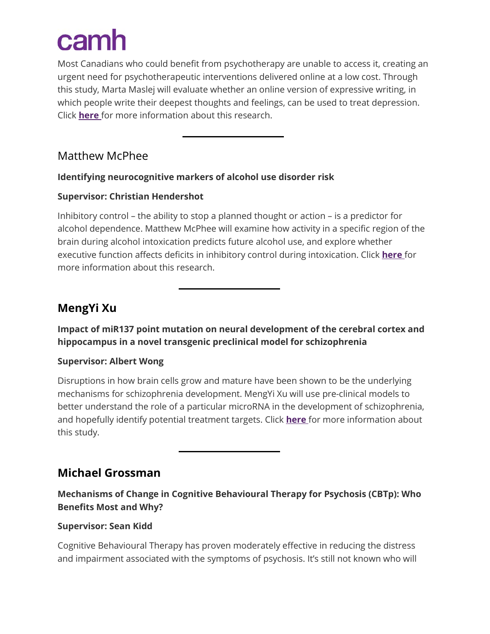Most Canadians who could benefit from psychotherapy are unable to access it, creating an urgent need for psychotherapeutic interventions delivered online at a low cost. Through this study, Marta Maslej will evaluate whether an online version of expressive writing, in which people write their deepest thoughts and feelings, can be used to treat depression. Click **[here](https://www.camh.ca/-/media/files/discovery-fund-abstracts/marta-maslej_2018-talent-development-competition-awardees-pdf.pdf?la=en&hash=F75384CD9928DB921A2C76014C740C825460642B)** for more information about this research.

## Matthew McPhee

## **Identifying neurocognitive markers of alcohol use disorder risk**

## **Supervisor: Christian Hendershot**

Inhibitory control – the ability to stop a planned thought or action – is a predictor for alcohol dependence. Matthew McPhee will examine how activity in a specific region of the brain during alcohol intoxication predicts future alcohol use, and explore whether executive function affects deficits in inhibitory control during intoxication. Click **[here](https://www.camh.ca/-/media/files/discovery-fund-abstracts/matthew-mcphee_2018-talent-development-competition-awardees-pdf.pdf?la=en&hash=0FB6B0A2B4421B7339BA2FC9FE535561EEF97BC0)** for more information about this research.

## **MengYi Xu**

**Impact of miR137 point mutation on neural development of the cerebral cortex and hippocampus in a novel transgenic preclinical model for schizophrenia**

### **Supervisor: Albert Wong**

Disruptions in how brain cells grow and mature have been shown to be the underlying mechanisms for schizophrenia development. MengYi Xu will use pre-clinical models to better understand the role of a particular microRNA in the development of schizophrenia, and hopefully identify potential treatment targets. Click **[here](https://www.camh.ca/-/media/files/discovery-fund-abstracts/mengyi-xu_2018-talent-development-competition-awardees-pdf.pdf?la=en&hash=CE1EFD8D4F67BC99340C0DFEF913C94ABB539C82)** for more information about this study.

## **Michael Grossman**

**Mechanisms of Change in Cognitive Behavioural Therapy for Psychosis (CBTp): Who Benefits Most and Why?**

### **Supervisor: Sean Kidd**

Cognitive Behavioural Therapy has proven moderately effective in reducing the distress and impairment associated with the symptoms of psychosis. It's still not known who will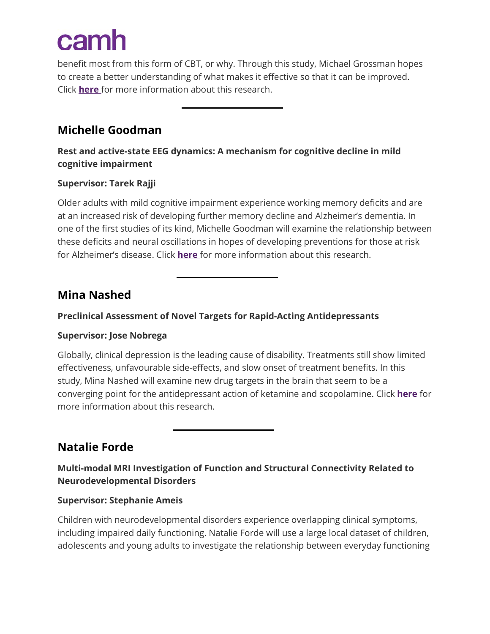benefit most from this form of CBT, or why. Through this study, Michael Grossman hopes to create a better understanding of what makes it effective so that it can be improved. Click **[here](https://www.camh.ca/-/media/files/discovery-fund-abstracts/michael-grossman_2018-talent-development-competition-awardees-pdf.pdf?la=en&hash=F8DF4C607F6B4078E9957F53583C975287523207)** for more information about this research.

## **Michelle Goodman**

**Rest and active-state EEG dynamics: A mechanism for cognitive decline in mild cognitive impairment**

#### **Supervisor: Tarek Rajji**

Older adults with mild cognitive impairment experience working memory deficits and are at an increased risk of developing further memory decline and Alzheimer's dementia. In one of the first studies of its kind, Michelle Goodman will examine the relationship between these deficits and neural oscillations in hopes of developing preventions for those at risk for Alzheimer's disease. Click **[here](https://www.camh.ca/-/media/files/discovery-fund-abstracts/michelle-goodman_2018-talent-development-competition-awardees-pdf.pdf?la=en&hash=1EDF121232F7FE5A7F38821E475D3041025C3B3D)** for more information about this research.

## **Mina Nashed**

### **Preclinical Assessment of Novel Targets for Rapid-Acting Antidepressants**

#### **Supervisor: Jose Nobrega**

Globally, clinical depression is the leading cause of disability. Treatments still show limited effectiveness, unfavourable side-effects, and slow onset of treatment benefits. In this study, Mina Nashed will examine new drug targets in the brain that seem to be a converging point for the antidepressant action of ketamine and scopolamine. Click **[here](https://www.camh.ca/-/media/files/discovery-fund-abstracts/mina-nashed_2018-talent-development-competition-awardees-pdf.pdf?la=en&hash=F81D6AD76C38F87DC1D471A0BA09B5228A623452)** for more information about this research.

**Natalie Forde**

## **Multi-modal MRI Investigation of Function and Structural Connectivity Related to Neurodevelopmental Disorders**

#### **Supervisor: Stephanie Ameis**

Children with neurodevelopmental disorders experience overlapping clinical symptoms, including impaired daily functioning. Natalie Forde will use a large local dataset of children, adolescents and young adults to investigate the relationship between everyday functioning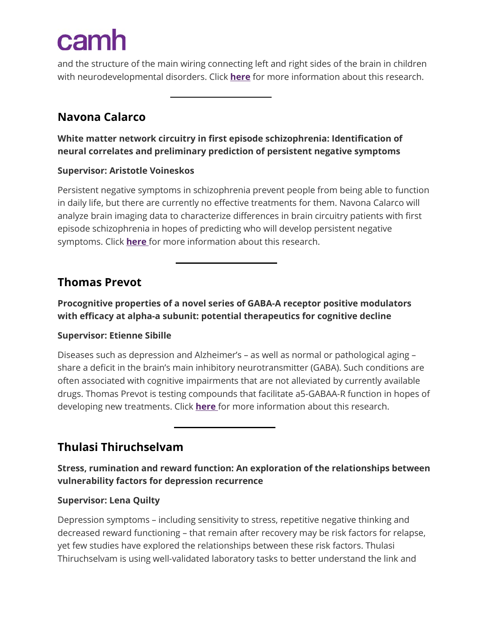and the structure of the main wiring connecting left and right sides of the brain in children with neurodevelopmental disorders. Click **[here](https://www.camh.ca/-/media/files/discovery-fund-abstracts/natalie-forde_2018-talent-development-competition-awardees-pdf.pdf?la=en&hash=90B5591CAC274074F81D3309B213AF6C2C1D4CE9)** for more information about this research.

## **Navona Calarco**

**White matter network circuitry in first episode schizophrenia: Identification of neural correlates and preliminary prediction of persistent negative symptoms**

#### **Supervisor: Aristotle Voineskos**

Persistent negative symptoms in schizophrenia prevent people from being able to function in daily life, but there are currently no effective treatments for them. Navona Calarco will analyze brain imaging data to characterize differences in brain circuitry patients with first episode schizophrenia in hopes of predicting who will develop persistent negative symptoms. Click **[here](https://www.camh.ca/-/media/files/discovery-fund-abstracts/navona-calarco_2018-talent-development-competition-awardees-pdf.pdf?la=en&hash=A25F21B670DCF39A5B6151A7DBDCDF3D7ABE1E1E)** for more information about this research.

## **Thomas Prevot**

**Procognitive properties of a novel series of GABA-A receptor positive modulators with efficacy at alpha-a subunit: potential therapeutics for cognitive decline**

### **Supervisor: Etienne Sibille**

Diseases such as depression and Alzheimer's – as well as normal or pathological aging – share a deficit in the brain's main inhibitory neurotransmitter (GABA). Such conditions are often associated with cognitive impairments that are not alleviated by currently available drugs. Thomas Prevot is testing compounds that facilitate a5-GABAA-R function in hopes of developing new treatments. Click **[here](https://www.camh.ca/-/media/files/discovery-fund-abstracts/thomas-prevot_2018-talent-development-competition-awardees-pdf.pdf?la=en&hash=9602741DF5888E82B6B51C779DC74A6168DD3D1A)** for more information about this research.

## **Thulasi Thiruchselvam**

**Stress, rumination and reward function: An exploration of the relationships between vulnerability factors for depression recurrence**

### **Supervisor: Lena Quilty**

Depression symptoms – including sensitivity to stress, repetitive negative thinking and decreased reward functioning – that remain after recovery may be risk factors for relapse, yet few studies have explored the relationships between these risk factors. Thulasi Thiruchselvam is using well-validated laboratory tasks to better understand the link and